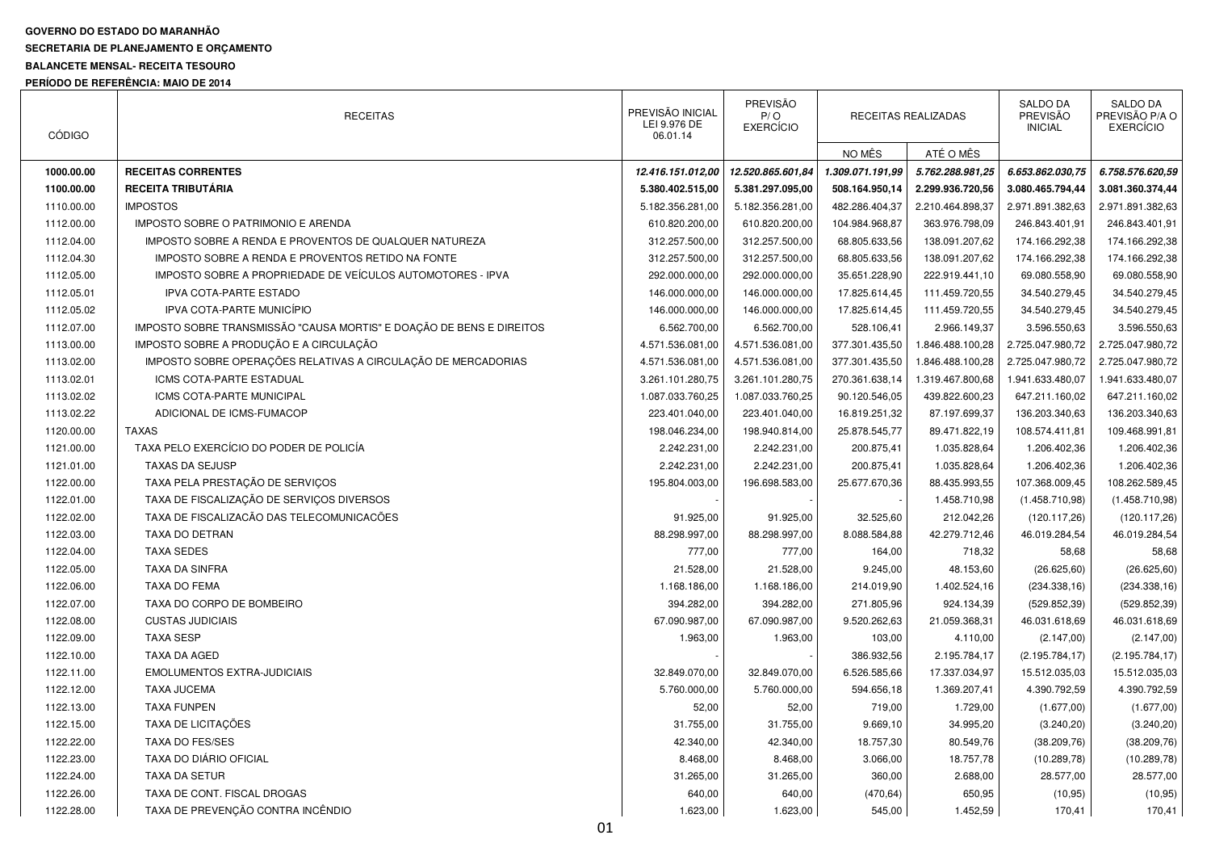## **GOVERNO DO ESTADO DO MARANHÃO**

## **SECRETARIA DE PLANEJAMENTO E ORÇAMENTO**

## **BALANCETE MENSAL- RECEITA TESOURO**

**PERÍODO DE REFERÊNCIA: MAIO DE 2014** 

| <b>CÓDIGO</b> | <b>RECEITAS</b>                                                      | PREVISÃO INICIAL<br>LEI 9.976 DE<br>06.01.14 | <b>PREVISÃO</b><br>P/O<br><b>EXERCÍCIO</b> |                  | RECEITAS REALIZADAS | <b>SALDO DA</b><br>PREVISÃO<br><b>INICIAL</b> | <b>SALDO DA</b><br>PREVISÃO P/A O<br><b>EXERCÍCIO</b> |
|---------------|----------------------------------------------------------------------|----------------------------------------------|--------------------------------------------|------------------|---------------------|-----------------------------------------------|-------------------------------------------------------|
|               |                                                                      |                                              |                                            | NO MÊS           | ATÉ O MÊS           |                                               |                                                       |
| 1000.00.00    | <b>RECEITAS CORRENTES</b>                                            | 12.416.151.012,00                            | 12.520.865.601,84                          | 1.309.071.191.99 | 5.762.288.981,25    | 6.653.862.030.75                              | 6.758.576.620,59                                      |
| 1100.00.00    | <b>RECEITA TRIBUTÁRIA</b>                                            | 5.380.402.515,00                             | 5.381.297.095,00                           | 508.164.950,14   | 2.299.936.720,56    | 3.080.465.794,44                              | 3.081.360.374,44                                      |
| 1110.00.00    | <b>IMPOSTOS</b>                                                      | 5.182.356.281,00                             | 5.182.356.281,00                           | 482.286.404,37   | 2.210.464.898,37    | 2.971.891.382,63                              | 2.971.891.382,63                                      |
| 1112.00.00    | IMPOSTO SOBRE O PATRIMONIO E ARENDA                                  | 610.820.200,00                               | 610.820.200,00                             | 104.984.968,87   | 363.976.798,09      | 246.843.401,91                                | 246.843.401,91                                        |
| 1112.04.00    | IMPOSTO SOBRE A RENDA E PROVENTOS DE QUALQUER NATUREZA               | 312.257.500,00                               | 312.257.500,00                             | 68.805.633,56    | 138.091.207,62      | 174.166.292,38                                | 174.166.292,38                                        |
| 1112.04.30    | IMPOSTO SOBRE A RENDA E PROVENTOS RETIDO NA FONTE                    | 312.257.500,00                               | 312.257.500,00                             | 68.805.633,56    | 138.091.207,62      | 174.166.292,38                                | 174.166.292,38                                        |
| 1112.05.00    | IMPOSTO SOBRE A PROPRIEDADE DE VEÍCULOS AUTOMOTORES - IPVA           | 292.000.000,00                               | 292.000.000,00                             | 35.651.228,90    | 222.919.441,10      | 69.080.558,90                                 | 69.080.558,90                                         |
| 1112.05.01    | <b>IPVA COTA-PARTE ESTADO</b>                                        | 146.000.000,00                               | 146.000.000,00                             | 17.825.614,45    | 111.459.720,55      | 34.540.279,45                                 | 34.540.279,45                                         |
| 1112.05.02    | IPVA COTA-PARTE MUNICÍPIO                                            | 146.000.000,00                               | 146.000.000,00                             | 17.825.614,45    | 111.459.720,55      | 34.540.279,45                                 | 34.540.279,45                                         |
| 1112.07.00    | IMPOSTO SOBRE TRANSMISSÃO "CAUSA MORTIS" E DOAÇÃO DE BENS E DIREITOS | 6.562.700,00                                 | 6.562.700,00                               | 528.106,41       | 2.966.149,37        | 3.596.550,63                                  | 3.596.550,63                                          |
| 1113.00.00    | IMPOSTO SOBRE A PRODUÇÃO E A CIRCULAÇÃO                              | 4.571.536.081,00                             | 4.571.536.081,00                           | 377.301.435,50   | 1.846.488.100,28    | 2.725.047.980,72                              | 2.725.047.980,72                                      |
| 1113.02.00    | IMPOSTO SOBRE OPERAÇÕES RELATIVAS A CIRCULAÇÃO DE MERCADORIAS        | 4.571.536.081,00                             | 4.571.536.081,00                           | 377.301.435,50   | 1.846.488.100,28    | 2.725.047.980,72                              | 2.725.047.980,72                                      |
| 1113.02.01    | <b>ICMS COTA-PARTE ESTADUAL</b>                                      | 3.261.101.280,75                             | 3.261.101.280,75                           | 270.361.638,14   | 1.319.467.800,68    | 1.941.633.480,07                              | 1.941.633.480,07                                      |
| 1113.02.02    | ICMS COTA-PARTE MUNICIPAL                                            | 1.087.033.760,25                             | 1.087.033.760,25                           | 90.120.546,05    | 439.822.600,23      | 647.211.160,02                                | 647.211.160,02                                        |
| 1113.02.22    | ADICIONAL DE ICMS-FUMACOP                                            | 223.401.040,00                               | 223.401.040,00                             | 16.819.251,32    | 87.197.699,37       | 136.203.340,63                                | 136.203.340,63                                        |
| 1120.00.00    | <b>TAXAS</b>                                                         | 198.046.234,00                               | 198.940.814,00                             | 25.878.545,77    | 89.471.822,19       | 108.574.411,81                                | 109.468.991,81                                        |
| 1121.00.00    | TAXA PELO EXERCÍCIO DO PODER DE POLICÍA                              | 2.242.231,00                                 | 2.242.231,00                               | 200.875,41       | 1.035.828,64        | 1.206.402,36                                  | 1.206.402,36                                          |
| 1121.01.00    | <b>TAXAS DA SEJUSP</b>                                               | 2.242.231,00                                 | 2.242.231,00                               | 200.875,41       | 1.035.828,64        | 1.206.402,36                                  | 1.206.402,36                                          |
| 1122.00.00    | TAXA PELA PRESTAÇÃO DE SERVIÇOS                                      | 195.804.003,00                               | 196.698.583,00                             | 25.677.670,36    | 88.435.993,55       | 107.368.009,45                                | 108.262.589,45                                        |
| 1122.01.00    | TAXA DE FISCALIZAÇÃO DE SERVIÇOS DIVERSOS                            |                                              |                                            |                  | 1.458.710,98        | (1.458.710,98)                                | (1.458.710,98)                                        |
| 1122.02.00    | TAXA DE FISCALIZAÇÃO DAS TELECOMUNICAÇÕES                            | 91.925,00                                    | 91.925,00                                  | 32.525,60        | 212.042,26          | (120.117, 26)                                 | (120.117,26)                                          |
| 1122.03.00    | TAXA DO DETRAN                                                       | 88.298.997,00                                | 88.298.997,00                              | 8.088.584,88     | 42.279.712,46       | 46.019.284,54                                 | 46.019.284,54                                         |
| 1122.04.00    | <b>TAXA SEDES</b>                                                    | 777,00                                       | 777,00                                     | 164,00           | 718,32              | 58,68                                         | 58,68                                                 |
| 1122.05.00    | <b>TAXA DA SINFRA</b>                                                | 21.528,00                                    | 21.528,00                                  | 9.245,00         | 48.153,60           | (26.625, 60)                                  | (26.625, 60)                                          |
| 1122.06.00    | <b>TAXA DO FEMA</b>                                                  | 1.168.186,00                                 | 1.168.186,00                               | 214.019,90       | 1.402.524,16        | (234.338,16)                                  | (234.338, 16)                                         |
| 1122.07.00    | TAXA DO CORPO DE BOMBEIRO                                            | 394.282,00                                   | 394.282,00                                 | 271.805,96       | 924.134,39          | (529.852, 39)                                 | (529.852, 39)                                         |
| 1122.08.00    | <b>CUSTAS JUDICIAIS</b>                                              | 67.090.987,00                                | 67.090.987,00                              | 9.520.262,63     | 21.059.368,31       | 46.031.618,69                                 | 46.031.618,69                                         |
| 1122.09.00    | <b>TAXA SESP</b>                                                     | 1.963,00                                     | 1.963,00                                   | 103,00           | 4.110,00            | (2.147,00)                                    | (2.147,00)                                            |
| 1122.10.00    | TAXA DA AGED                                                         |                                              |                                            | 386.932,56       | 2.195.784,17        | (2.195.784, 17)                               | (2.195.784, 17)                                       |
| 1122.11.00    | <b>EMOLUMENTOS EXTRA-JUDICIAIS</b>                                   | 32.849.070,00                                | 32.849.070,00                              | 6.526.585,66     | 17.337.034,97       | 15.512.035,03                                 | 15.512.035,03                                         |
| 1122.12.00    | <b>TAXA JUCEMA</b>                                                   | 5.760.000,00                                 | 5.760.000,00                               | 594.656,18       | 1.369.207,41        | 4.390.792,59                                  | 4.390.792,59                                          |
| 1122.13.00    | <b>TAXA FUNPEN</b>                                                   | 52,00                                        | 52,00                                      | 719,00           | 1.729,00            | (1.677,00)                                    | (1.677,00)                                            |
| 1122.15.00    | TAXA DE LICITAÇÕES                                                   | 31.755,00                                    | 31.755,00                                  | 9.669,10         | 34.995,20           | (3.240, 20)                                   | (3.240, 20)                                           |
| 1122.22.00    | <b>TAXA DO FES/SES</b>                                               | 42.340,00                                    | 42.340,00                                  | 18.757,30        | 80.549,76           | (38.209,76)                                   | (38.209, 76)                                          |
| 1122.23.00    | TAXA DO DIÁRIO OFICIAL                                               | 8.468,00                                     | 8.468,00                                   | 3.066,00         | 18.757,78           | (10.289, 78)                                  | (10.289, 78)                                          |
| 1122.24.00    | <b>TAXA DA SETUR</b>                                                 | 31.265,00                                    | 31.265,00                                  | 360,00           | 2.688,00            | 28.577,00                                     | 28.577,00                                             |
| 1122.26.00    | TAXA DE CONT. FISCAL DROGAS                                          | 640,00                                       | 640,00                                     | (470, 64)        | 650,95              | (10, 95)                                      | (10, 95)                                              |
| 1122.28.00    | TAXA DE PREVENÇÃO CONTRA INCÊNDIO                                    | 1.623,00                                     | 1.623,00                                   | 545,00           | 1.452,59            | 170,41                                        | 170,41                                                |
|               |                                                                      |                                              |                                            |                  |                     |                                               |                                                       |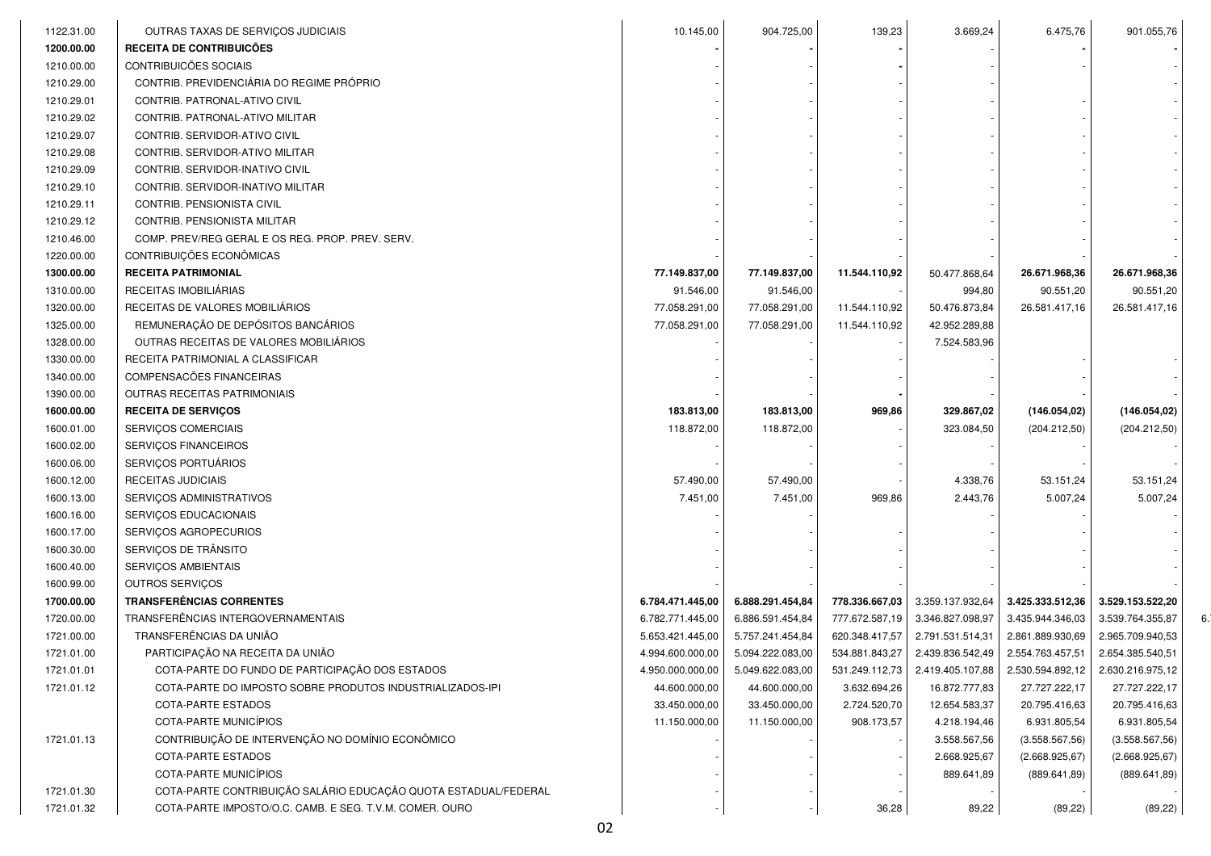| 1122.31.00 | OUTRAS TAXAS DE SERVIÇOS JUDICIAIS                                 | 10.145,00        | 904.725,00       | 139,23         | 3.669,24         | 6.475,76         | 901.055,76       |    |
|------------|--------------------------------------------------------------------|------------------|------------------|----------------|------------------|------------------|------------------|----|
| 1200.00.00 | RECEITA DE CONTRIBUICÕES                                           |                  |                  |                |                  |                  |                  |    |
| 1210.00.00 | CONTRIBUICÕES SOCIAIS                                              |                  |                  |                |                  |                  |                  |    |
| 1210.29.00 | CONTRIB. PREVIDENCIÁRIA DO REGIME PRÓPRIO                          |                  |                  |                |                  |                  |                  |    |
| 1210.29.01 | CONTRIB. PATRONAL-ATIVO CIVIL                                      |                  |                  |                |                  |                  |                  |    |
| 1210.29.02 | CONTRIB. PATRONAL-ATIVO MILITAR                                    |                  |                  |                |                  |                  |                  |    |
| 1210.29.07 | CONTRIB. SERVIDOR-ATIVO CIVIL                                      |                  |                  |                |                  |                  |                  |    |
| 1210.29.08 |                                                                    |                  |                  |                |                  |                  |                  |    |
|            | CONTRIB. SERVIDOR-ATIVO MILITAR<br>CONTRIB. SERVIDOR-INATIVO CIVIL |                  |                  |                |                  |                  |                  |    |
| 1210.29.09 |                                                                    |                  |                  |                |                  |                  |                  |    |
| 1210.29.10 | CONTRIB. SERVIDOR-INATIVO MILITAR                                  |                  |                  |                |                  |                  |                  |    |
| 1210.29.11 | CONTRIB. PENSIONISTA CIVIL                                         |                  |                  |                |                  |                  |                  |    |
| 1210.29.12 | CONTRIB. PENSIONISTA MILITAR                                       |                  |                  |                |                  |                  |                  |    |
| 1210.46.00 | COMP. PREV/REG GERAL E OS REG. PROP. PREV. SERV.                   |                  |                  |                |                  |                  |                  |    |
| 1220.00.00 | CONTRIBUIÇÕES ECONÔMICAS                                           |                  |                  |                |                  |                  |                  |    |
| 1300.00.00 | <b>RECEITA PATRIMONIAL</b>                                         | 77.149.837,00    | 77.149.837,00    | 11.544.110,92  | 50.477.868,64    | 26.671.968,36    | 26.671.968,36    |    |
| 1310.00.00 | RECEITAS IMOBILIÁRIAS                                              | 91.546,00        | 91.546,00        |                | 994,80           | 90.551,20        | 90.551,20        |    |
| 1320.00.00 | RECEITAS DE VALORES MOBILIÁRIOS                                    | 77.058.291,00    | 77.058.291,00    | 11.544.110,92  | 50.476.873,84    | 26.581.417,16    | 26.581.417,16    |    |
| 1325.00.00 | REMUNERAÇÃO DE DEPÓSITOS BANCÁRIOS                                 | 77.058.291,00    | 77.058.291,00    | 11.544.110,92  | 42.952.289,88    |                  |                  |    |
| 1328.00.00 | OUTRAS RECEITAS DE VALORES MOBILIÁRIOS                             |                  |                  |                | 7.524.583,96     |                  |                  |    |
| 1330.00.00 | RECEITA PATRIMONIAL A CLASSIFICAR                                  |                  |                  |                |                  |                  |                  |    |
| 1340.00.00 | COMPENSACÕES FINANCEIRAS                                           |                  |                  |                |                  |                  |                  |    |
| 1390.00.00 | OUTRAS RECEITAS PATRIMONIAIS                                       |                  |                  |                |                  |                  |                  |    |
| 1600.00.00 | <b>RECEITA DE SERVIÇOS</b>                                         | 183.813,00       | 183.813,00       | 969,86         | 329.867,02       | (146.054, 02)    | (146.054, 02)    |    |
| 1600.01.00 | SERVIÇOS COMERCIAIS                                                | 118.872,00       | 118.872,00       |                | 323.084,50       | (204.212,50)     | (204.212,50)     |    |
| 1600.02.00 | SERVIÇOS FINANCEIROS                                               |                  |                  |                |                  |                  |                  |    |
| 1600.06.00 | SERVIÇOS PORTUÁRIOS                                                |                  |                  |                |                  |                  |                  |    |
| 1600.12.00 | RECEITAS JUDICIAIS                                                 | 57.490,00        | 57.490,00        |                | 4.338,76         | 53.151,24        | 53.151,24        |    |
| 1600.13.00 | SERVIÇOS ADMINISTRATIVOS                                           | 7.451,00         | 7.451,00         | 969,86         | 2.443,76         | 5.007,24         | 5.007,24         |    |
| 1600.16.00 | SERVIÇOS EDUCACIONAIS                                              |                  |                  |                |                  |                  |                  |    |
| 1600.17.00 | SERVIÇOS AGROPECURIOS                                              |                  |                  |                |                  |                  |                  |    |
| 1600.30.00 | SERVIÇOS DE TRÂNSITO                                               |                  |                  |                |                  |                  |                  |    |
| 1600.40.00 | SERVIÇOS AMBIENTAIS                                                |                  |                  |                |                  |                  |                  |    |
| 1600.99.00 | <b>OUTROS SERVIÇOS</b>                                             |                  |                  |                |                  |                  |                  |    |
| 1700.00.00 | <b>TRANSFERÊNCIAS CORRENTES</b>                                    | 6.784.471.445,00 | 6.888.291.454,84 | 778.336.667,03 | 3.359.137.932,64 | 3.425.333.512,36 | 3.529.153.522,20 |    |
| 1720.00.00 | TRANSFERËNCIAS INTERGOVERNAMENTAIS                                 | 6.782.771.445,00 | 6.886.591.454,84 | 777.672.587,19 | 3.346.827.098,97 | 3.435.944.346,03 | 3.539.764.355,87 | 6. |
| 1721.00.00 | TRANSFERÊNCIAS DA UNIÃO                                            | 5.653.421.445,00 | 5.757.241.454,84 | 620.348.417,57 | 2.791.531.514,31 | 2.861.889.930,69 | 2.965.709.940,53 |    |
| 1721.01.00 | PARTICIPAÇÃO NA RECEITA DA UNIÃO                                   | 4.994.600.000,00 | 5.094.222.083,00 | 534.881.843,27 | 2.439.836.542,49 | 2.554.763.457,51 | 2.654.385.540,51 |    |
| 1721.01.01 | COTA-PARTE DO FUNDO DE PARTICIPAÇÃO DOS ESTADOS                    | 4.950.000.000,00 | 5.049.622.083,00 | 531.249.112,73 | 2.419.405.107,88 | 2.530.594.892,12 | 2.630.216.975,12 |    |
| 1721.01.12 | COTA-PARTE DO IMPOSTO SOBRE PRODUTOS INDUSTRIALIZADOS-IPI          | 44.600.000,00    | 44.600.000,00    | 3.632.694,26   | 16.872.777,83    | 27.727.222,17    | 27.727.222,17    |    |
|            | COTA-PARTE ESTADOS                                                 | 33.450.000,00    | 33.450.000,00    | 2.724.520,70   | 12.654.583,37    | 20.795.416,63    | 20.795.416,63    |    |
|            | COTA-PARTE MUNICÍPIOS                                              | 11.150.000,00    | 11.150.000,00    | 908.173,57     | 4.218.194,46     | 6.931.805,54     | 6.931.805,54     |    |
| 1721.01.13 | CONTRIBUIÇÃO DE INTERVENÇÃO NO DOMÍNIO ECONÔMICO                   |                  |                  |                | 3.558.567,56     | (3.558.567, 56)  | (3.558.567, 56)  |    |
|            | COTA-PARTE ESTADOS                                                 |                  |                  |                | 2.668.925,67     | (2.668.925, 67)  | (2.668.925, 67)  |    |
|            | COTA-PARTE MUNICÍPIOS                                              |                  |                  |                | 889.641,89       | (889.641, 89)    | (889.641, 89)    |    |
| 1721.01.30 | COTA-PARTE CONTRIBUIÇÃO SALÁRIO EDUCAÇÃO QUOTA ESTADUAL/FEDERAL    |                  |                  |                |                  |                  |                  |    |
| 1721.01.32 | COTA-PARTE IMPOSTO/O.C. CAMB. E SEG. T.V.M. COMER. OURO            |                  |                  | 36,28          | 89,22            | (89, 22)         | (89, 22)         |    |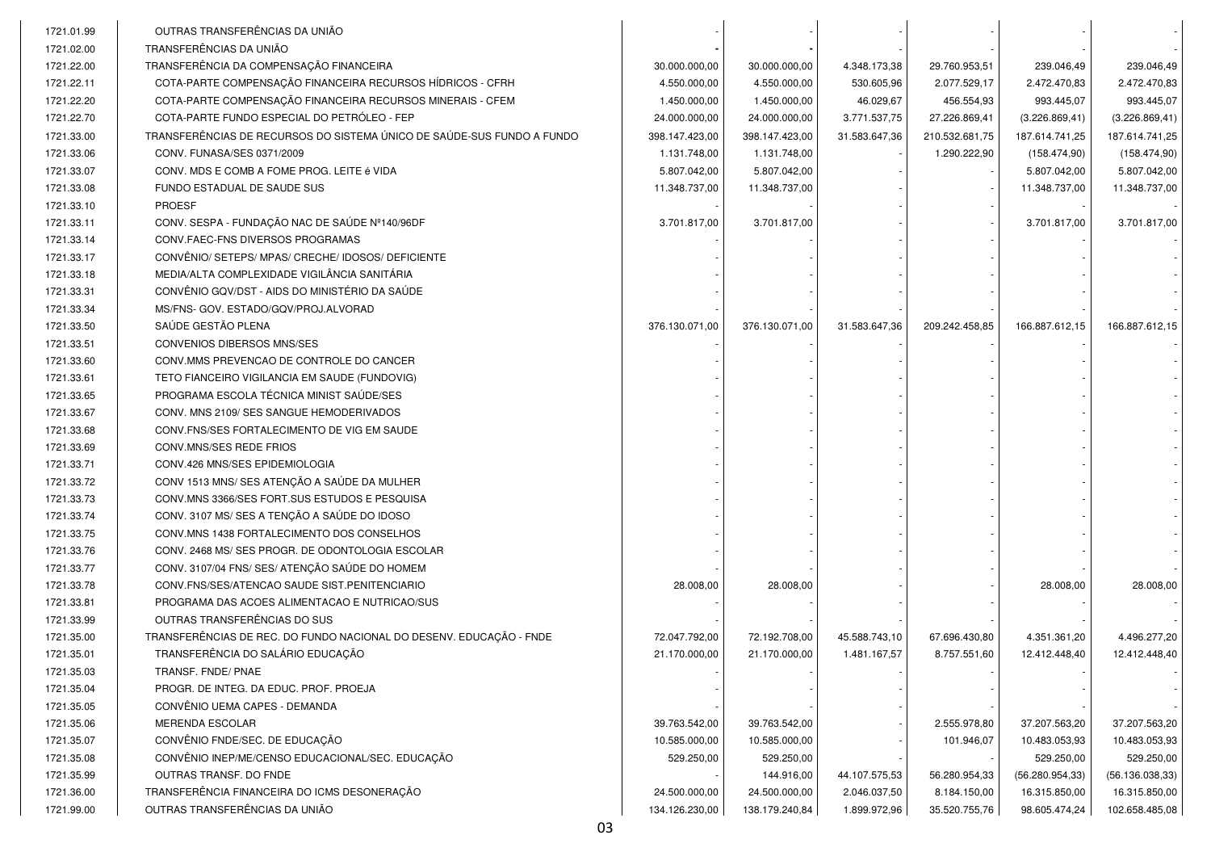| 1721.01.99 | OUTRAS TRANSFERÊNCIAS DA UNIÃO                                         |                |                |               |                |                  |                  |
|------------|------------------------------------------------------------------------|----------------|----------------|---------------|----------------|------------------|------------------|
| 1721.02.00 | TRANSFERÊNCIAS DA UNIÃO                                                |                |                |               |                |                  |                  |
| 1721.22.00 | TRANSFERÊNCIA DA COMPENSAÇÃO FINANCEIRA                                | 30.000.000,00  | 30.000.000,00  | 4.348.173,38  | 29.760.953,51  | 239.046,49       | 239.046,49       |
| 1721.22.11 | COTA-PARTE COMPENSAÇÃO FINANCEIRA RECURSOS HÍDRICOS - CFRH             | 4.550.000,00   | 4.550.000,00   | 530.605,96    | 2.077.529,17   | 2.472.470,83     | 2.472.470,83     |
| 1721.22.20 | COTA-PARTE COMPENSAÇÃO FINANCEIRA RECURSOS MINERAIS - CFEM             | 1.450.000,00   | 1.450.000,00   | 46.029,67     | 456.554,93     | 993.445,07       | 993.445,07       |
| 1721.22.70 | COTA-PARTE FUNDO ESPECIAL DO PETRÓLEO - FEP                            | 24.000.000,00  | 24.000.000,00  | 3.771.537,75  | 27.226.869,41  | (3.226.869, 41)  | (3.226.869, 41)  |
| 1721.33.00 | TRANSFERÊNCIAS DE RECURSOS DO SISTEMA ÚNICO DE SAÚDE-SUS FUNDO A FUNDO | 398.147.423,00 | 398.147.423,00 | 31.583.647,36 | 210.532.681,75 | 187.614.741,25   | 187.614.741,25   |
| 1721.33.06 | CONV. FUNASA/SES 0371/2009                                             | 1.131.748,00   | 1.131.748,00   |               | 1.290.222,90   | (158.474,90)     | (158.474,90)     |
| 1721.33.07 | CONV. MDS E COMB A FOME PROG. LEITE é VIDA                             | 5.807.042,00   | 5.807.042,00   |               |                | 5.807.042,00     | 5.807.042,00     |
| 1721.33.08 | FUNDO ESTADUAL DE SAUDE SUS                                            | 11.348.737,00  | 11.348.737,00  |               |                | 11.348.737,00    | 11.348.737,00    |
| 1721.33.10 | <b>PROESF</b>                                                          |                |                |               |                |                  |                  |
| 1721.33.11 | CONV. SESPA - FUNDAÇÃO NAC DE SAÚDE Nº140/96DF                         | 3.701.817,00   | 3.701.817,00   |               |                | 3.701.817,00     | 3.701.817,00     |
| 1721.33.14 | CONV.FAEC-FNS DIVERSOS PROGRAMAS                                       |                |                |               |                |                  |                  |
| 1721.33.17 | CONVÊNIO/ SETEPS/ MPAS/ CRECHE/ IDOSOS/ DEFICIENTE                     |                |                |               |                |                  |                  |
| 1721.33.18 | MEDIA/ALTA COMPLEXIDADE VIGILÂNCIA SANITÁRIA                           |                |                |               |                |                  |                  |
| 1721.33.31 | CONVÊNIO GQV/DST - AIDS DO MINISTÉRIO DA SAÚDE                         |                |                |               |                |                  |                  |
| 1721.33.34 | MS/FNS- GOV. ESTADO/GQV/PROJ.ALVORAD                                   |                |                |               |                |                  |                  |
| 1721.33.50 | SAÚDE GESTÃO PLENA                                                     | 376.130.071,00 | 376.130.071,00 | 31.583.647,36 | 209.242.458,85 | 166.887.612,15   | 166.887.612,15   |
| 1721.33.51 | <b>CONVENIOS DIBERSOS MNS/SES</b>                                      |                |                |               |                |                  |                  |
| 1721.33.60 | CONV.MMS PREVENCAO DE CONTROLE DO CANCER                               |                |                |               |                |                  |                  |
| 1721.33.61 | TETO FIANCEIRO VIGILANCIA EM SAUDE (FUNDOVIG)                          |                |                |               |                |                  |                  |
| 1721.33.65 | PROGRAMA ESCOLA TÉCNICA MINIST SAÚDE/SES                               |                |                |               |                |                  |                  |
| 1721.33.67 | CONV. MNS 2109/ SES SANGUE HEMODERIVADOS                               |                |                |               |                |                  |                  |
| 1721.33.68 | CONV. FNS/SES FORTALECIMENTO DE VIG EM SAUDE                           |                |                |               |                |                  |                  |
| 1721.33.69 | CONV.MNS/SES REDE FRIOS                                                |                |                |               |                |                  |                  |
| 1721.33.71 | CONV.426 MNS/SES EPIDEMIOLOGIA                                         |                |                |               |                |                  |                  |
| 1721.33.72 | CONV 1513 MNS/ SES ATENÇÃO A SAÚDE DA MULHER                           |                |                |               |                |                  |                  |
| 1721.33.73 | CONV.MNS 3366/SES FORT.SUS ESTUDOS E PESQUISA                          |                |                |               |                |                  |                  |
| 1721.33.74 | CONV. 3107 MS/ SES A TENÇÃO A SAÚDE DO IDOSO                           |                |                |               |                |                  |                  |
| 1721.33.75 | CONV.MNS 1438 FORTALECIMENTO DOS CONSELHOS                             |                |                |               |                |                  |                  |
| 1721.33.76 | CONV. 2468 MS/ SES PROGR. DE ODONTOLOGIA ESCOLAR                       |                |                |               |                |                  |                  |
| 1721.33.77 | CONV. 3107/04 FNS/ SES/ ATENÇÃO SAÚDE DO HOMEM                         |                |                |               |                |                  |                  |
| 1721.33.78 | CONV.FNS/SES/ATENCAO SAUDE SIST.PENITENCIARIO                          | 28.008,00      | 28.008,00      |               |                | 28.008,00        | 28.008,00        |
| 1721.33.81 | PROGRAMA DAS ACOES ALIMENTACAO E NUTRICAO/SUS                          |                |                |               |                |                  |                  |
| 1721.33.99 | OUTRAS TRANSFERÊNCIAS DO SUS                                           |                |                |               |                |                  |                  |
| 1721.35.00 | TRANSFERÊNCIAS DE REC. DO FUNDO NACIONAL DO DESENV. EDUCAÇÃO - FNDE    | 72.047.792,00  | 72.192.708,00  | 45.588.743,10 | 67.696.430,80  | 4.351.361,20     | 4.496.277,20     |
| 1721.35.01 | TRANSFERÊNCIA DO SALÁRIO EDUCAÇÃO                                      | 21.170.000,00  | 21.170.000,00  | 1.481.167,57  | 8.757.551,60   | 12.412.448,40    | 12.412.448,40    |
| 1721.35.03 | TRANSF. FNDE/ PNAE                                                     |                |                |               |                |                  |                  |
| 1721.35.04 | PROGR. DE INTEG. DA EDUC. PROF. PROEJA                                 |                |                |               |                |                  |                  |
| 1721.35.05 | CONVÊNIO UEMA CAPES - DEMANDA                                          |                |                |               |                |                  |                  |
| 1721.35.06 | MERENDA ESCOLAR                                                        | 39.763.542,00  | 39.763.542,00  |               | 2.555.978,80   | 37.207.563,20    | 37.207.563,20    |
| 1721.35.07 | CONVÊNIO FNDE/SEC. DE EDUCAÇÃO                                         | 10.585.000,00  | 10.585.000,00  |               | 101.946,07     | 10.483.053,93    | 10.483.053,93    |
| 1721.35.08 | CONVÊNIO INEP/ME/CENSO EDUCACIONAL/SEC. EDUCAÇÃO                       | 529.250,00     | 529.250,00     |               |                | 529.250,00       | 529.250,00       |
| 1721.35.99 | <b>OUTRAS TRANSF, DO FNDE</b>                                          |                | 144.916,00     | 44.107.575,53 | 56.280.954,33  | (56.280.954, 33) | (56.136.038, 33) |
| 1721.36.00 | TRANSFERÊNCIA FINANCEIRA DO ICMS DESONERAÇÃO                           | 24.500.000,00  | 24.500.000,00  | 2.046.037,50  | 8.184.150,00   | 16.315.850,00    | 16.315.850,00    |
| 1721.99.00 | OUTRAS TRANSFERÊNCIAS DA UNIÃO                                         | 134.126.230,00 | 138.179.240,84 | 1.899.972,96  | 35.520.755,76  | 98.605.474,24    | 102.658.485,08   |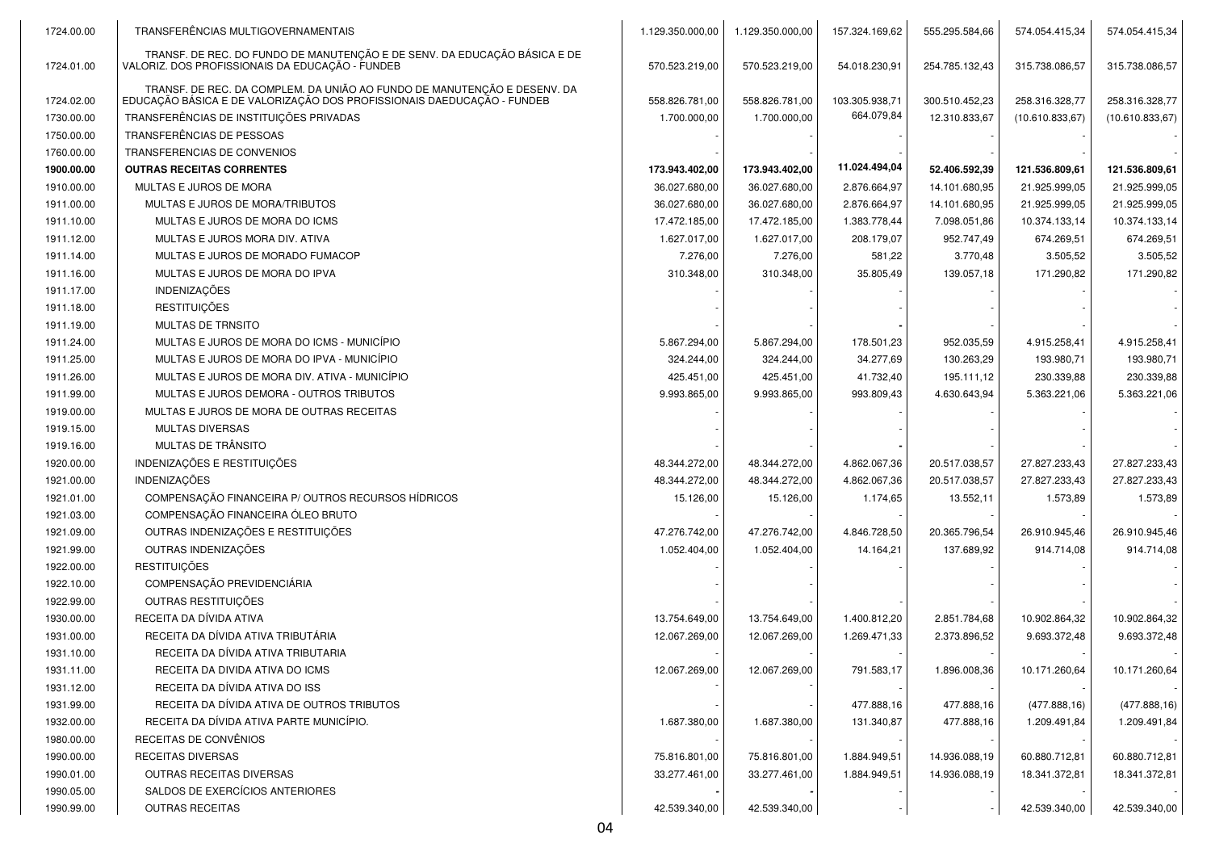| 1724.00.00 | TRANSFERÊNCIAS MULTIGOVERNAMENTAIS                                                                                                                 | 1.129.350.000,00 | 1.129.350.000,00 | 157.324.169,62 | 555.295.584,66 | 574.054.415,34  | 574.054.415,34  |
|------------|----------------------------------------------------------------------------------------------------------------------------------------------------|------------------|------------------|----------------|----------------|-----------------|-----------------|
| 1724.01.00 | TRANSF. DE REC. DO FUNDO DE MANUTENÇÃO E DE SENV. DA EDUCAÇÃO BÁSICA E DE<br>VALORIZ. DOS PROFISSIONAIS DA EDUCAÇÃO - FUNDEB                       | 570.523.219,00   | 570.523.219,00   | 54.018.230,91  | 254.785.132,43 | 315.738.086,57  | 315.738.086,57  |
| 1724.02.00 | TRANSF. DE REC. DA COMPLEM. DA UNIÃO AO FUNDO DE MANUTENÇÃO E DESENV. DA<br>EDUCAÇÃO BÁSICA E DE VALORIZAÇÃO DOS PROFISSIONAIS DAEDUCAÇÃO - FUNDEB | 558.826.781,00   | 558.826.781,00   | 103.305.938,71 | 300.510.452,23 | 258.316.328,77  | 258.316.328,77  |
| 1730.00.00 | TRANSFERÊNCIAS DE INSTITUIÇÕES PRIVADAS                                                                                                            | 1.700.000,00     | 1.700.000,00     | 664.079,84     | 12.310.833,67  | (10.610.833,67) | (10.610.833,67) |
| 1750.00.00 | TRANSFERÊNCIAS DE PESSOAS                                                                                                                          |                  |                  |                |                |                 |                 |
| 1760.00.00 | TRANSFERENCIAS DE CONVENIOS                                                                                                                        |                  |                  |                |                |                 |                 |
| 1900.00.00 | <b>OUTRAS RECEITAS CORRENTES</b>                                                                                                                   | 173.943.402,00   | 173.943.402,00   | 11.024.494,04  | 52.406.592,39  | 121.536.809,61  | 121.536.809,61  |
| 1910.00.00 | MULTAS E JUROS DE MORA                                                                                                                             | 36.027.680,00    | 36.027.680,00    | 2.876.664,97   | 14.101.680,95  | 21.925.999,05   | 21.925.999,05   |
| 1911.00.00 | MULTAS E JUROS DE MORA/TRIBUTOS                                                                                                                    | 36.027.680,00    | 36.027.680,00    | 2.876.664,97   | 14.101.680,95  | 21.925.999,05   | 21.925.999,05   |
| 1911.10.00 | MULTAS E JUROS DE MORA DO ICMS                                                                                                                     | 17.472.185,00    | 17.472.185,00    | 1.383.778,44   | 7.098.051,86   | 10.374.133,14   | 10.374.133,14   |
| 1911.12.00 | MULTAS E JUROS MORA DIV. ATIVA                                                                                                                     | 1.627.017,00     | 1.627.017,00     | 208.179,07     | 952.747,49     | 674.269,51      | 674.269,51      |
| 1911.14.00 | MULTAS E JUROS DE MORADO FUMACOP                                                                                                                   | 7.276,00         | 7.276,00         | 581,22         | 3.770,48       | 3.505,52        | 3.505,52        |
| 1911.16.00 | MULTAS E JUROS DE MORA DO IPVA                                                                                                                     | 310.348,00       | 310.348,00       | 35.805,49      | 139.057,18     | 171.290,82      | 171.290,82      |
| 1911.17.00 | <b>INDENIZAÇÕES</b>                                                                                                                                |                  |                  |                |                |                 |                 |
| 1911.18.00 | <b>RESTITUIÇÕES</b>                                                                                                                                |                  |                  |                |                |                 |                 |
| 1911.19.00 | <b>MULTAS DE TRNSITO</b>                                                                                                                           |                  |                  |                |                |                 |                 |
| 1911.24.00 | MULTAS E JUROS DE MORA DO ICMS - MUNICÍPIO                                                                                                         | 5.867.294,00     | 5.867.294,00     | 178.501,23     | 952.035,59     | 4.915.258,41    | 4.915.258.41    |
| 1911.25.00 | MULTAS E JUROS DE MORA DO IPVA - MUNICÍPIO                                                                                                         | 324.244,00       | 324.244,00       | 34.277,69      | 130.263,29     | 193.980,71      | 193.980,71      |
| 1911.26.00 | MULTAS E JUROS DE MORA DIV. ATIVA - MUNICÍPIO                                                                                                      | 425.451,00       | 425.451,00       | 41.732,40      | 195.111,12     | 230.339,88      | 230.339,88      |
| 1911.99.00 | MULTAS E JUROS DEMORA - OUTROS TRIBUTOS                                                                                                            | 9.993.865,00     | 9.993.865,00     | 993.809,43     | 4.630.643,94   | 5.363.221,06    | 5.363.221,06    |
| 1919.00.00 | MULTAS E JUROS DE MORA DE OUTRAS RECEITAS                                                                                                          |                  |                  |                |                |                 |                 |
| 1919.15.00 | <b>MULTAS DIVERSAS</b>                                                                                                                             |                  |                  |                |                |                 |                 |
| 1919.16.00 | MULTAS DE TRÂNSITO                                                                                                                                 |                  |                  |                |                |                 |                 |
| 1920.00.00 | INDENIZAÇÕES E RESTITUIÇÕES                                                                                                                        | 48.344.272,00    | 48.344.272,00    | 4.862.067,36   | 20.517.038,57  | 27.827.233,43   | 27.827.233,43   |
| 1921.00.00 | INDENIZAÇÕES                                                                                                                                       | 48.344.272,00    | 48.344.272,00    | 4.862.067,36   | 20.517.038,57  | 27.827.233,43   | 27.827.233,43   |
| 1921.01.00 | COMPENSAÇÃO FINANCEIRA P/ OUTROS RECURSOS HÍDRICOS                                                                                                 | 15.126,00        | 15.126,00        | 1.174,65       | 13.552,11      | 1.573,89        | 1.573,89        |
| 1921.03.00 | COMPENSAÇÃO FINANCEIRA ÓLEO BRUTO                                                                                                                  |                  |                  |                |                |                 |                 |
| 1921.09.00 | OUTRAS INDENIZAÇÕES E RESTITUIÇÕES                                                                                                                 | 47.276.742,00    | 47.276.742,00    | 4.846.728,50   | 20.365.796,54  | 26.910.945,46   | 26.910.945,46   |
| 1921.99.00 | OUTRAS INDENIZAÇÕES                                                                                                                                | 1.052.404,00     | 1.052.404,00     | 14.164,21      | 137.689,92     | 914.714,08      | 914.714,08      |
| 1922.00.00 | <b>RESTITUICÕES</b>                                                                                                                                |                  |                  |                |                |                 |                 |
| 1922.10.00 | COMPENSAÇÃO PREVIDENCIÁRIA                                                                                                                         |                  |                  |                |                |                 |                 |
| 1922.99.00 | OUTRAS RESTITUIÇÕES                                                                                                                                |                  |                  |                |                |                 |                 |
| 1930.00.00 | RECEITA DA DÍVIDA ATIVA                                                                                                                            | 13.754.649,00    | 13.754.649,00    | 1.400.812,20   | 2.851.784,68   | 10.902.864,32   | 10.902.864,32   |
| 1931.00.00 | RECEITA DA DÍVIDA ATIVA TRIBUTÁRIA                                                                                                                 | 12.067.269,00    | 12.067.269,00    | 1.269.471,33   | 2.373.896,52   | 9.693.372,48    | 9.693.372,48    |
| 1931.10.00 | RECEITA DA DÍVIDA ATIVA TRIBUTARIA                                                                                                                 |                  |                  |                |                |                 |                 |
| 1931.11.00 | RECEITA DA DIVIDA ATIVA DO ICMS                                                                                                                    | 12.067.269,00    | 12.067.269,00    | 791.583,17     | 1.896.008,36   | 10.171.260,64   | 10.171.260,64   |
| 1931.12.00 | RECEITA DA DÍVIDA ATIVA DO ISS                                                                                                                     |                  |                  |                |                |                 |                 |
| 1931.99.00 | RECEITA DA DÍVIDA ATIVA DE OUTROS TRIBUTOS                                                                                                         |                  |                  | 477.888,16     | 477.888,16     | (477.888, 16)   | (477.888,16)    |
| 1932.00.00 | RECEITA DA DÍVIDA ATIVA PARTE MUNICÍPIO.                                                                                                           | 1.687.380,00     | 1.687.380,00     | 131.340,87     | 477.888,16     | 1.209.491,84    | 1.209.491,84    |
| 1980.00.00 | RECEITAS DE CONVÊNIOS                                                                                                                              |                  |                  |                |                |                 |                 |
| 1990.00.00 | <b>RECEITAS DIVERSAS</b>                                                                                                                           | 75.816.801,00    | 75.816.801,00    | 1.884.949,51   | 14.936.088,19  | 60.880.712,81   | 60.880.712,81   |
| 1990.01.00 | <b>OUTRAS RECEITAS DIVERSAS</b>                                                                                                                    | 33.277.461,00    | 33.277.461,00    | 1.884.949,51   | 14.936.088,19  | 18.341.372,81   | 18.341.372,81   |
| 1990.05.00 | SALDOS DE EXERCÍCIOS ANTERIORES                                                                                                                    |                  |                  |                |                |                 |                 |
| 1990.99.00 | <b>OUTRAS RECEITAS</b>                                                                                                                             | 42.539.340,00    | 42.539.340,00    |                |                | 42.539.340,00   | 42.539.340,00   |
|            |                                                                                                                                                    |                  |                  |                |                |                 |                 |